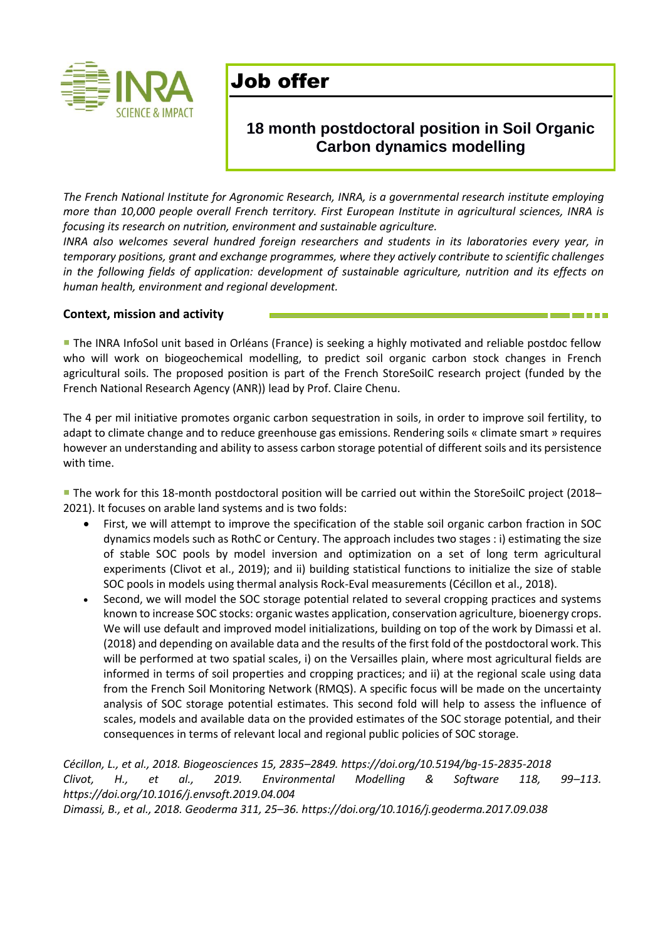

# Job offer

### **18 month postdoctoral position in Soil Organic Carbon dynamics modelling**

*The French National Institute for Agronomic Research, INRA, is a governmental research institute employing more than 10,000 people overall French territory. First European Institute in agricultural sciences, INRA is focusing its research on nutrition, environment and sustainable agriculture.* 

*INRA also welcomes several hundred foreign researchers and students in its laboratories every year, in temporary positions, grant and exchange programmes, where they actively contribute to scientific challenges in the following fields of application: development of sustainable agriculture, nutrition and its effects on human health, environment and regional development.* 

#### **Context, mission and activity**

**The INRA InfoSol unit based in Orléans (France) is seeking a highly motivated and reliable postdoc fellow** who will work on biogeochemical modelling, to predict soil organic carbon stock changes in French agricultural soils. The proposed position is part of the French StoreSoilC research project (funded by the French National Research Agency (ANR)) lead by Prof. Claire Chenu.

The 4 per mil initiative promotes organic carbon sequestration in soils, in order to improve soil fertility, to adapt to climate change and to reduce greenhouse gas emissions. Rendering soils « climate smart » requires however an understanding and ability to assess carbon storage potential of different soils and its persistence with time.

 The work for this 18-month postdoctoral position will be carried out within the StoreSoilC project (2018– 2021). It focuses on arable land systems and is two folds:

- First, we will attempt to improve the specification of the stable soil organic carbon fraction in SOC dynamics models such as RothC or Century. The approach includes two stages : i) estimating the size of stable SOC pools by model inversion and optimization on a set of long term agricultural experiments (Clivot et al., 2019); and ii) building statistical functions to initialize the size of stable SOC pools in models using thermal analysis Rock-Eval measurements (Cécillon et al., 2018).
- Second, we will model the SOC storage potential related to several cropping practices and systems known to increase SOC stocks: organic wastes application, conservation agriculture, bioenergy crops. We will use default and improved model initializations, building on top of the work by Dimassi et al. (2018) and depending on available data and the results of the first fold of the postdoctoral work. This will be performed at two spatial scales, i) on the Versailles plain, where most agricultural fields are informed in terms of soil properties and cropping practices; and ii) at the regional scale using data from the French Soil Monitoring Network (RMQS). A specific focus will be made on the uncertainty analysis of SOC storage potential estimates. This second fold will help to assess the influence of scales, models and available data on the provided estimates of the SOC storage potential, and their consequences in terms of relevant local and regional public policies of SOC storage.

*Cécillon, L., et al., 2018. Biogeosciences 15, 2835–2849[. https://doi.org/10.5194/bg-15-2835-2018](https://doi.org/10.5194/bg-15-2835-2018) Clivot, H., et al., 2019. Environmental Modelling & Software 118, 99–113. https://doi.org/10.1016/j.envsoft.2019.04.004*

*Dimassi, B., et al., 2018. Geoderma 311, 25–36.<https://doi.org/10.1016/j.geoderma.2017.09.038>*